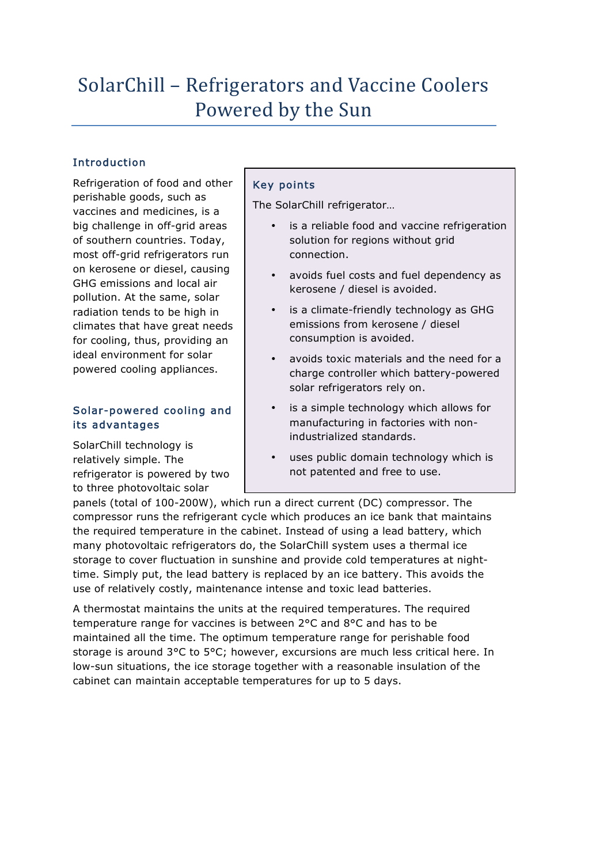# SolarChill – Refrigerators and Vaccine Coolers Powered by the Sun

# Introduction

Refrigeration of food and other perishable goods, such as vaccines and medicines, is a big challenge in off-grid areas of southern countries. Today, most off-grid refrigerators run on kerosene or diesel, causing GHG emissions and local air pollution. At the same, solar radiation tends to be high in climates that have great needs for cooling, thus, providing an ideal environment for solar powered cooling appliances.

## Solar-powered cooling and its advantages

SolarChill technology is relatively simple. The refrigerator is powered by two to three photovoltaic solar

# Key points

The SolarChill refrigerator…

- is a reliable food and vaccine refrigeration solution for regions without grid connection.
- avoids fuel costs and fuel dependency as kerosene / diesel is avoided.
- is a climate-friendly technology as GHG emissions from kerosene / diesel consumption is avoided.
- avoids toxic materials and the need for a charge controller which battery-powered solar refrigerators rely on.
- is a simple technology which allows for manufacturing in factories with nonindustrialized standards.
- uses public domain technology which is not patented and free to use.

panels (total of 100-200W), which run a direct current (DC) compressor. The compressor runs the refrigerant cycle which produces an ice bank that maintains the required temperature in the cabinet. Instead of using a lead battery, which many photovoltaic refrigerators do, the SolarChill system uses a thermal ice storage to cover fluctuation in sunshine and provide cold temperatures at nighttime. Simply put, the lead battery is replaced by an ice battery. This avoids the use of relatively costly, maintenance intense and toxic lead batteries.

A thermostat maintains the units at the required temperatures. The required temperature range for vaccines is between 2°C and 8°C and has to be maintained all the time. The optimum temperature range for perishable food storage is around 3°C to 5°C; however, excursions are much less critical here. In low-sun situations, the ice storage together with a reasonable insulation of the cabinet can maintain acceptable temperatures for up to 5 days.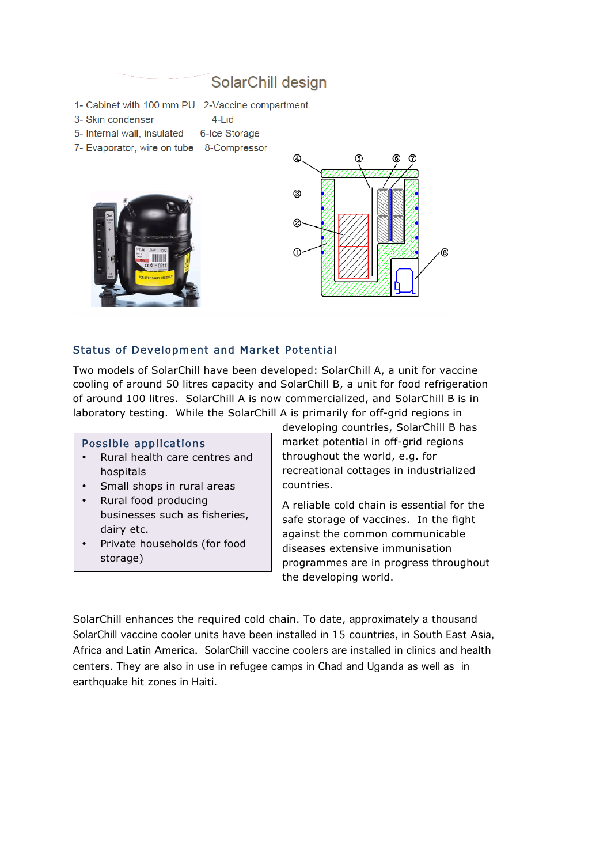# SolarChill design

1- Cabinet with 100 mm PU 2-Vaccine compartment

 $4$ -Lid

- 3- Skin condenser
- 5- Internal wall, insulated 6-Ice Storage
- 7- Evaporator, wire on tube 8-Compressor





#### Status of Development and Market Potential

Two models of SolarChill have been developed: SolarChill A, a unit for vaccine cooling of around 50 litres capacity and SolarChill B, a unit for food refrigeration of around 100 litres. SolarChill A is now commercialized, and SolarChill B is in laboratory testing. While the SolarChill A is primarily for off-grid regions in

#### Possible applications

- Rural health care centres and hospitals
- Small shops in rural areas
- Rural food producing businesses such as fisheries, dairy etc.
- Private households (for food storage)

developing countries, SolarChill B has market potential in off-grid regions throughout the world, e.g. for recreational cottages in industrialized countries.

A reliable cold chain is essential for the safe storage of vaccines. In the fight against the common communicable diseases extensive immunisation programmes are in progress throughout the developing world.

SolarChill enhances the required cold chain. To date, approximately a thousand SolarChill vaccine cooler units have been installed in 15 countries, in South East Asia, Africa and Latin America. SolarChill vaccine coolers are installed in clinics and health centers. They are also in use in refugee camps in Chad and Uganda as well as in earthquake hit zones in Haiti.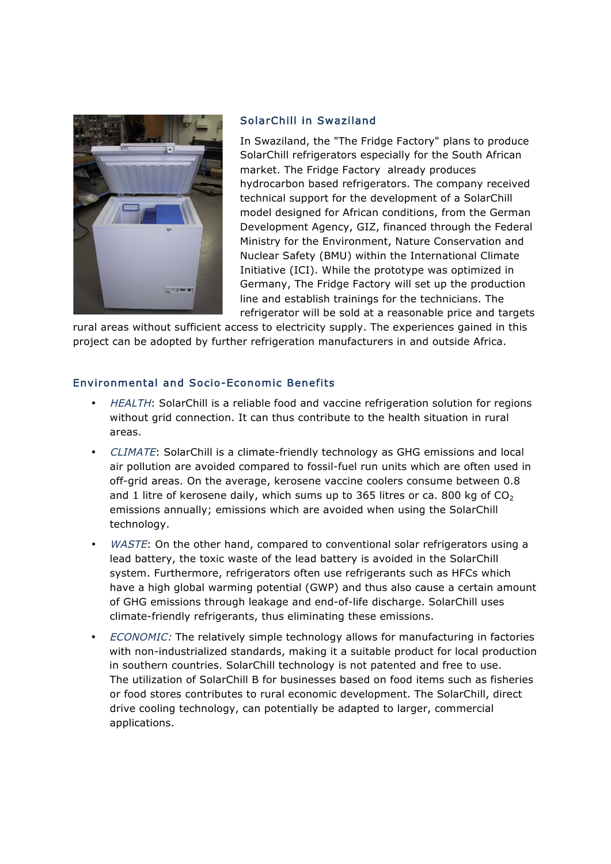

#### SolarChill in Swaziland

In Swaziland, the "The Fridge Factory" plans to produce SolarChill refrigerators especially for the South African market. The Fridge Factory already produces hydrocarbon based refrigerators. The company received technical support for the development of a SolarChill model designed for African conditions, from the German Development Agency, GIZ, financed through the Federal Ministry for the Environment, Nature Conservation and Nuclear Safety (BMU) within the International Climate Initiative (ICI). While the prototype was optimized in Germany, The Fridge Factory will set up the production line and establish trainings for the technicians. The refrigerator will be sold at a reasonable price and targets

rural areas without sufficient access to electricity supply. The experiences gained in this project can be adopted by further refrigeration manufacturers in and outside Africa.

#### Environmental and Socio-Economic Benefits

- HEALTH: SolarChill is a reliable food and vaccine refrigeration solution for regions without grid connection. It can thus contribute to the health situation in rural areas.
- CLIMATE: SolarChill is a climate-friendly technology as GHG emissions and local air pollution are avoided compared to fossil-fuel run units which are often used in off-grid areas. On the average, kerosene vaccine coolers consume between 0.8 and 1 litre of kerosene daily, which sums up to 365 litres or ca. 800 kg of  $CO<sub>2</sub>$ emissions annually; emissions which are avoided when using the SolarChill technology.
- WASTE: On the other hand, compared to conventional solar refrigerators using a lead battery, the toxic waste of the lead battery is avoided in the SolarChill system. Furthermore, refrigerators often use refrigerants such as HFCs which have a high global warming potential (GWP) and thus also cause a certain amount of GHG emissions through leakage and end-of-life discharge. SolarChill uses climate-friendly refrigerants, thus eliminating these emissions.
- ECONOMIC: The relatively simple technology allows for manufacturing in factories with non-industrialized standards, making it a suitable product for local production in southern countries. SolarChill technology is not patented and free to use. The utilization of SolarChill B for businesses based on food items such as fisheries or food stores contributes to rural economic development. The SolarChill, direct drive cooling technology, can potentially be adapted to larger, commercial applications.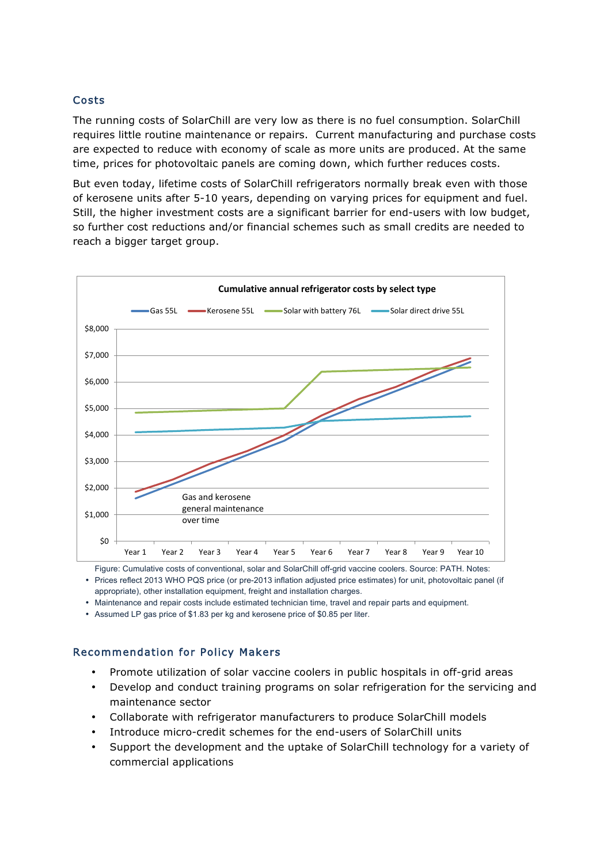# Costs

The running costs of SolarChill are very low as there is no fuel consumption. SolarChill requires little routine maintenance or repairs. Current manufacturing and purchase costs are expected to reduce with economy of scale as more units are produced. At the same time, prices for photovoltaic panels are coming down, which further reduces costs.

But even today, lifetime costs of SolarChill refrigerators normally break even with those of kerosene units after 5-10 years, depending on varying prices for equipment and fuel. Still, the higher investment costs are a significant barrier for end-users with low budget, so further cost reductions and/or financial schemes such as small credits are needed to reach a bigger target group.



Figure: Cumulative costs of conventional, solar and SolarChill off-grid vaccine coolers. Source: PATH. Notes:

• Prices reflect 2013 WHO PQS price (or pre-2013 inflation adjusted price estimates) for unit, photovoltaic panel (if appropriate), other installation equipment, freight and installation charges.

• Maintenance and repair costs include estimated technician time, travel and repair parts and equipment.

• Assumed LP gas price of \$1.83 per kg and kerosene price of \$0.85 per liter.

#### Recommendation for Policy Makers

- Promote utilization of solar vaccine coolers in public hospitals in off-grid areas
- Develop and conduct training programs on solar refrigeration for the servicing and maintenance sector
- Collaborate with refrigerator manufacturers to produce SolarChill models
- Introduce micro-credit schemes for the end-users of SolarChill units
- Support the development and the uptake of SolarChill technology for a variety of commercial applications